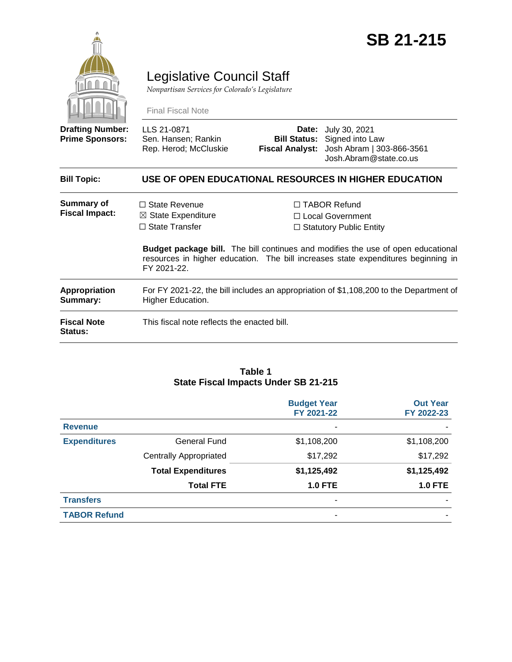

# Legislative Council Staff

*Nonpartisan Services for Colorado's Legislature*

Final Fiscal Note

| <b>Drafting Number:</b><br><b>Prime Sponsors:</b> | LLS 21-0871<br>Sen. Hansen; Rankin<br>Rep. Herod; McCluskie                                                                                                                                 |                                                                             | <b>Date:</b> July 30, 2021<br><b>Bill Status:</b> Signed into Law<br>Fiscal Analyst: Josh Abram   303-866-3561<br>Josh.Abram@state.co.us |  |  |
|---------------------------------------------------|---------------------------------------------------------------------------------------------------------------------------------------------------------------------------------------------|-----------------------------------------------------------------------------|------------------------------------------------------------------------------------------------------------------------------------------|--|--|
| <b>Bill Topic:</b>                                | USE OF OPEN EDUCATIONAL RESOURCES IN HIGHER EDUCATION                                                                                                                                       |                                                                             |                                                                                                                                          |  |  |
| <b>Summary of</b><br><b>Fiscal Impact:</b>        | $\Box$ State Revenue<br>$\boxtimes$ State Expenditure<br>$\Box$ State Transfer                                                                                                              | $\Box$ TABOR Refund<br>□ Local Government<br>$\Box$ Statutory Public Entity |                                                                                                                                          |  |  |
|                                                   | <b>Budget package bill.</b> The bill continues and modifies the use of open educational<br>resources in higher education. The bill increases state expenditures beginning in<br>FY 2021-22. |                                                                             |                                                                                                                                          |  |  |
| Appropriation<br>Summary:                         | For FY 2021-22, the bill includes an appropriation of \$1,108,200 to the Department of<br><b>Higher Education.</b>                                                                          |                                                                             |                                                                                                                                          |  |  |
| <b>Fiscal Note</b><br>Status:                     | This fiscal note reflects the enacted bill.                                                                                                                                                 |                                                                             |                                                                                                                                          |  |  |

#### **Table 1 State Fiscal Impacts Under SB 21-215**

|                     |                               | <b>Budget Year</b><br>FY 2021-22 | <b>Out Year</b><br>FY 2022-23 |
|---------------------|-------------------------------|----------------------------------|-------------------------------|
| <b>Revenue</b>      |                               | ٠                                |                               |
| <b>Expenditures</b> | <b>General Fund</b>           | \$1,108,200                      | \$1,108,200                   |
|                     | <b>Centrally Appropriated</b> | \$17,292                         | \$17,292                      |
|                     | <b>Total Expenditures</b>     | \$1,125,492                      | \$1,125,492                   |
|                     | <b>Total FTE</b>              | <b>1.0 FTE</b>                   | <b>1.0 FTE</b>                |
| <b>Transfers</b>    |                               |                                  |                               |
| <b>TABOR Refund</b> |                               | ۰                                |                               |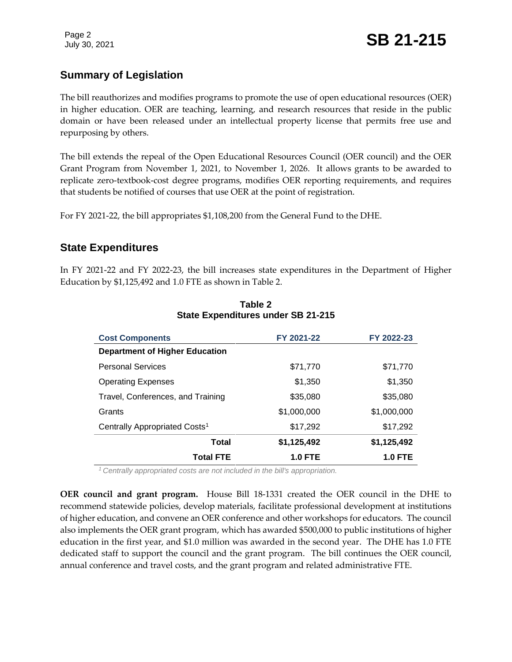Page 2

# **Summary of Legislation**

The bill reauthorizes and modifies programs to promote the use of open educational resources (OER) in higher education. OER are teaching, learning, and research resources that reside in the public domain or have been released under an intellectual property license that permits free use and repurposing by others.

The bill extends the repeal of the Open Educational Resources Council (OER council) and the OER Grant Program from November 1, 2021, to November 1, 2026. It allows grants to be awarded to replicate zero-textbook-cost degree programs, modifies OER reporting requirements, and requires that students be notified of courses that use OER at the point of registration.

For FY 2021-22, the bill appropriates \$1,108,200 from the General Fund to the DHE.

## **State Expenditures**

In FY 2021-22 and FY 2022-23, the bill increases state expenditures in the Department of Higher Education by \$1,125,492 and 1.0 FTE as shown in Table 2.

| <b>Cost Components</b>                    | FY 2021-22     | FY 2022-23     |
|-------------------------------------------|----------------|----------------|
| <b>Department of Higher Education</b>     |                |                |
| <b>Personal Services</b>                  | \$71,770       | \$71,770       |
| <b>Operating Expenses</b>                 | \$1,350        | \$1,350        |
| Travel, Conferences, and Training         | \$35,080       | \$35,080       |
| Grants                                    | \$1,000,000    | \$1,000,000    |
| Centrally Appropriated Costs <sup>1</sup> | \$17,292       | \$17,292       |
| Total                                     | \$1,125,492    | \$1,125,492    |
| <b>Total FTE</b>                          | <b>1.0 FTE</b> | <b>1.0 FTE</b> |

#### **Table 2 State Expenditures under SB 21-215**

*<sup>1</sup>Centrally appropriated costs are not included in the bill's appropriation.*

**OER council and grant program.** House Bill 18-1331 created the OER council in the DHE to recommend statewide policies, develop materials, facilitate professional development at institutions of higher education, and convene an OER conference and other workshops for educators. The council also implements the OER grant program, which has awarded \$500,000 to public institutions of higher education in the first year, and \$1.0 million was awarded in the second year. The DHE has 1.0 FTE dedicated staff to support the council and the grant program. The bill continues the OER council, annual conference and travel costs, and the grant program and related administrative FTE.